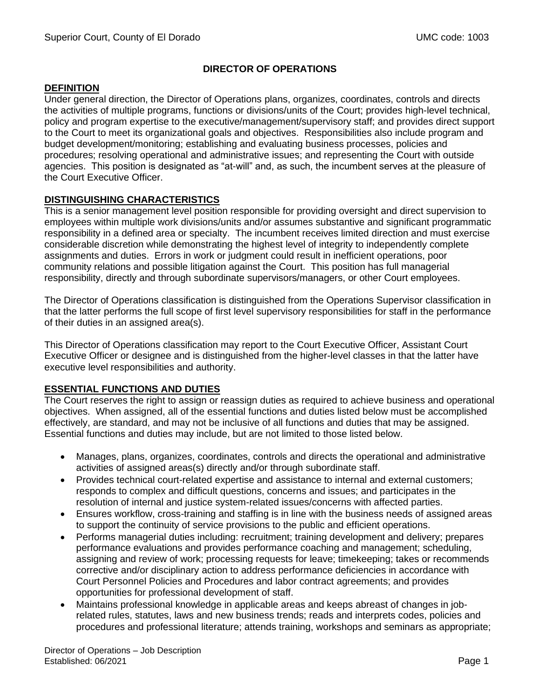# **DIRECTOR OF OPERATIONS**

### **DEFINITION**

Under general direction, the Director of Operations plans, organizes, coordinates, controls and directs the activities of multiple programs, functions or divisions/units of the Court; provides high-level technical, policy and program expertise to the executive/management/supervisory staff; and provides direct support to the Court to meet its organizational goals and objectives. Responsibilities also include program and budget development/monitoring; establishing and evaluating business processes, policies and procedures; resolving operational and administrative issues; and representing the Court with outside agencies. This position is designated as "at-will" and, as such, the incumbent serves at the pleasure of the Court Executive Officer.

# **DISTINGUISHING CHARACTERISTICS**

This is a senior management level position responsible for providing oversight and direct supervision to employees within multiple work divisions/units and/or assumes substantive and significant programmatic responsibility in a defined area or specialty. The incumbent receives limited direction and must exercise considerable discretion while demonstrating the highest level of integrity to independently complete assignments and duties. Errors in work or judgment could result in inefficient operations, poor community relations and possible litigation against the Court. This position has full managerial responsibility, directly and through subordinate supervisors/managers, or other Court employees.

The Director of Operations classification is distinguished from the Operations Supervisor classification in that the latter performs the full scope of first level supervisory responsibilities for staff in the performance of their duties in an assigned area(s).

This Director of Operations classification may report to the Court Executive Officer, Assistant Court Executive Officer or designee and is distinguished from the higher-level classes in that the latter have executive level responsibilities and authority.

# **ESSENTIAL FUNCTIONS AND DUTIES**

The Court reserves the right to assign or reassign duties as required to achieve business and operational objectives. When assigned, all of the essential functions and duties listed below must be accomplished effectively, are standard, and may not be inclusive of all functions and duties that may be assigned. Essential functions and duties may include, but are not limited to those listed below.

- Manages, plans, organizes, coordinates, controls and directs the operational and administrative activities of assigned areas(s) directly and/or through subordinate staff.
- Provides technical court-related expertise and assistance to internal and external customers; responds to complex and difficult questions, concerns and issues; and participates in the resolution of internal and justice system-related issues/concerns with affected parties.
- Ensures workflow, cross-training and staffing is in line with the business needs of assigned areas to support the continuity of service provisions to the public and efficient operations.
- Performs managerial duties including: recruitment; training development and delivery; prepares performance evaluations and provides performance coaching and management; scheduling, assigning and review of work; processing requests for leave; timekeeping; takes or recommends corrective and/or disciplinary action to address performance deficiencies in accordance with Court Personnel Policies and Procedures and labor contract agreements; and provides opportunities for professional development of staff.
- Maintains professional knowledge in applicable areas and keeps abreast of changes in jobrelated rules, statutes, laws and new business trends; reads and interprets codes, policies and procedures and professional literature; attends training, workshops and seminars as appropriate;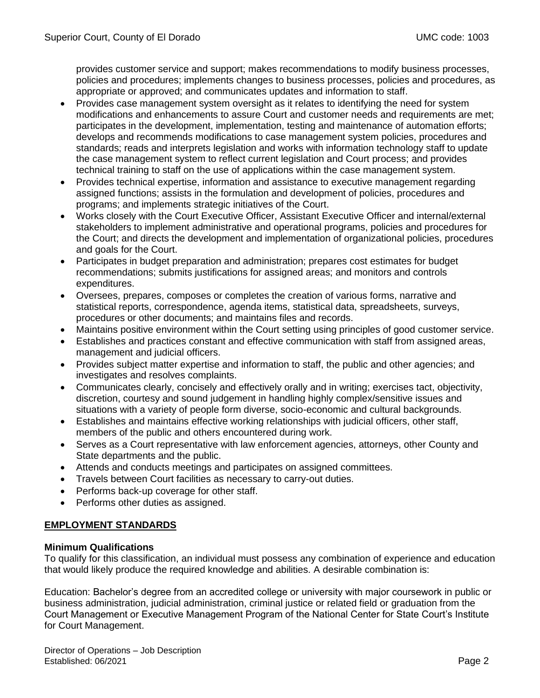provides customer service and support; makes recommendations to modify business processes, policies and procedures; implements changes to business processes, policies and procedures, as appropriate or approved; and communicates updates and information to staff.

- Provides case management system oversight as it relates to identifying the need for system modifications and enhancements to assure Court and customer needs and requirements are met; participates in the development, implementation, testing and maintenance of automation efforts; develops and recommends modifications to case management system policies, procedures and standards; reads and interprets legislation and works with information technology staff to update the case management system to reflect current legislation and Court process; and provides technical training to staff on the use of applications within the case management system.
- Provides technical expertise, information and assistance to executive management regarding assigned functions; assists in the formulation and development of policies, procedures and programs; and implements strategic initiatives of the Court.
- Works closely with the Court Executive Officer, Assistant Executive Officer and internal/external stakeholders to implement administrative and operational programs, policies and procedures for the Court; and directs the development and implementation of organizational policies, procedures and goals for the Court.
- Participates in budget preparation and administration; prepares cost estimates for budget recommendations; submits justifications for assigned areas; and monitors and controls expenditures.
- Oversees, prepares, composes or completes the creation of various forms, narrative and statistical reports, correspondence, agenda items, statistical data, spreadsheets, surveys, procedures or other documents; and maintains files and records.
- Maintains positive environment within the Court setting using principles of good customer service.
- Establishes and practices constant and effective communication with staff from assigned areas, management and judicial officers.
- Provides subject matter expertise and information to staff, the public and other agencies; and investigates and resolves complaints.
- Communicates clearly, concisely and effectively orally and in writing; exercises tact, objectivity, discretion, courtesy and sound judgement in handling highly complex/sensitive issues and situations with a variety of people form diverse, socio-economic and cultural backgrounds.
- Establishes and maintains effective working relationships with judicial officers, other staff, members of the public and others encountered during work.
- Serves as a Court representative with law enforcement agencies, attorneys, other County and State departments and the public.
- Attends and conducts meetings and participates on assigned committees.
- Travels between Court facilities as necessary to carry-out duties.
- Performs back-up coverage for other staff.
- Performs other duties as assigned.

### **EMPLOYMENT STANDARDS**

### **Minimum Qualifications**

To qualify for this classification, an individual must possess any combination of experience and education that would likely produce the required knowledge and abilities. A desirable combination is:

Education: Bachelor's degree from an accredited college or university with major coursework in public or business administration, judicial administration, criminal justice or related field or graduation from the Court Management or Executive Management Program of the National Center for State Court's Institute for Court Management.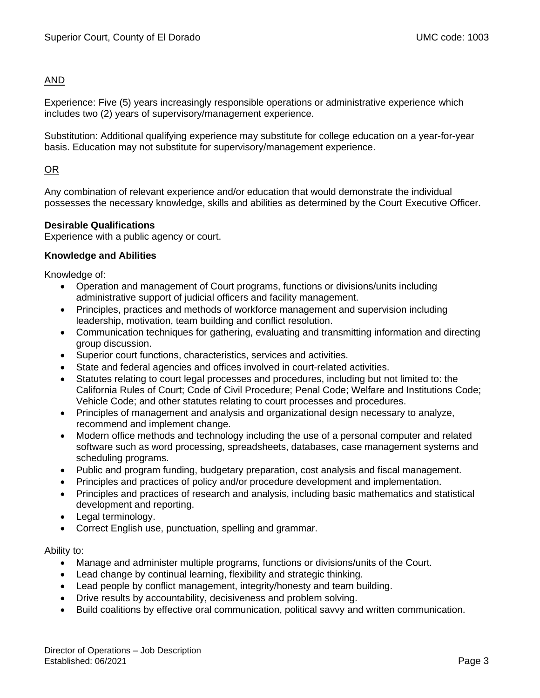# AND

Experience: Five (5) years increasingly responsible operations or administrative experience which includes two (2) years of supervisory/management experience.

Substitution: Additional qualifying experience may substitute for college education on a year-for-year basis. Education may not substitute for supervisory/management experience.

# OR

Any combination of relevant experience and/or education that would demonstrate the individual possesses the necessary knowledge, skills and abilities as determined by the Court Executive Officer.

### **Desirable Qualifications**

Experience with a public agency or court.

## **Knowledge and Abilities**

Knowledge of:

- Operation and management of Court programs, functions or divisions/units including administrative support of judicial officers and facility management.
- Principles, practices and methods of workforce management and supervision including leadership, motivation, team building and conflict resolution.
- Communication techniques for gathering, evaluating and transmitting information and directing group discussion.
- Superior court functions, characteristics, services and activities.
- State and federal agencies and offices involved in court-related activities.
- Statutes relating to court legal processes and procedures, including but not limited to: the California Rules of Court; Code of Civil Procedure; Penal Code; Welfare and Institutions Code; Vehicle Code; and other statutes relating to court processes and procedures.
- Principles of management and analysis and organizational design necessary to analyze, recommend and implement change.
- Modern office methods and technology including the use of a personal computer and related software such as word processing, spreadsheets, databases, case management systems and scheduling programs.
- Public and program funding, budgetary preparation, cost analysis and fiscal management.
- Principles and practices of policy and/or procedure development and implementation.
- Principles and practices of research and analysis, including basic mathematics and statistical development and reporting.
- Legal terminology.
- Correct English use, punctuation, spelling and grammar.

### Ability to:

- Manage and administer multiple programs, functions or divisions/units of the Court.
- Lead change by continual learning, flexibility and strategic thinking.
- Lead people by conflict management, integrity/honesty and team building.
- Drive results by accountability, decisiveness and problem solving.
- Build coalitions by effective oral communication, political savvy and written communication.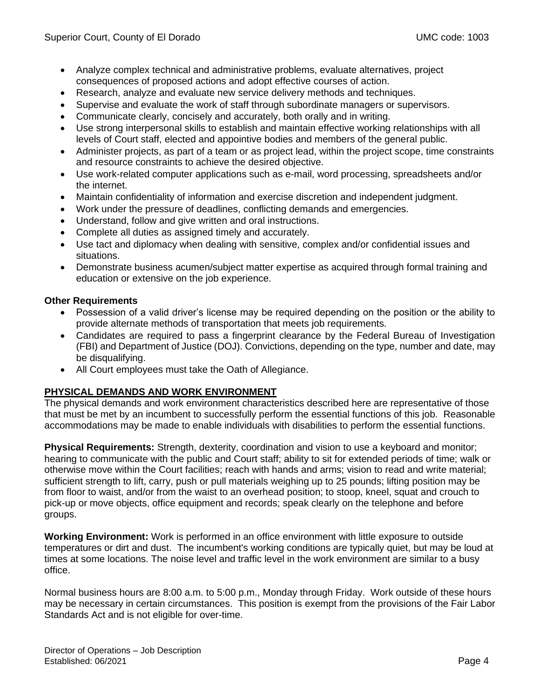- Analyze complex technical and administrative problems, evaluate alternatives, project consequences of proposed actions and adopt effective courses of action.
- Research, analyze and evaluate new service delivery methods and techniques.
- Supervise and evaluate the work of staff through subordinate managers or supervisors.
- Communicate clearly, concisely and accurately, both orally and in writing.
- Use strong interpersonal skills to establish and maintain effective working relationships with all levels of Court staff, elected and appointive bodies and members of the general public.
- Administer projects, as part of a team or as project lead, within the project scope, time constraints and resource constraints to achieve the desired objective.
- Use work-related computer applications such as e-mail, word processing, spreadsheets and/or the internet.
- Maintain confidentiality of information and exercise discretion and independent judgment.
- Work under the pressure of deadlines, conflicting demands and emergencies.
- Understand, follow and give written and oral instructions.
- Complete all duties as assigned timely and accurately.
- Use tact and diplomacy when dealing with sensitive, complex and/or confidential issues and situations.
- Demonstrate business acumen/subject matter expertise as acquired through formal training and education or extensive on the job experience.

## **Other Requirements**

- Possession of a valid driver's license may be required depending on the position or the ability to provide alternate methods of transportation that meets job requirements.
- Candidates are required to pass a fingerprint clearance by the Federal Bureau of Investigation (FBI) and Department of Justice (DOJ). Convictions, depending on the type, number and date, may be disqualifying.
- All Court employees must take the Oath of Allegiance.

# **PHYSICAL DEMANDS AND WORK ENVIRONMENT**

The physical demands and work environment characteristics described here are representative of those that must be met by an incumbent to successfully perform the essential functions of this job. Reasonable accommodations may be made to enable individuals with disabilities to perform the essential functions.

**Physical Requirements:** Strength, dexterity, coordination and vision to use a keyboard and monitor; hearing to communicate with the public and Court staff; ability to sit for extended periods of time; walk or otherwise move within the Court facilities; reach with hands and arms; vision to read and write material; sufficient strength to lift, carry, push or pull materials weighing up to 25 pounds; lifting position may be from floor to waist, and/or from the waist to an overhead position; to stoop, kneel, squat and crouch to pick-up or move objects, office equipment and records; speak clearly on the telephone and before groups.

**Working Environment:** Work is performed in an office environment with little exposure to outside temperatures or dirt and dust. The incumbent's working conditions are typically quiet, but may be loud at times at some locations. The noise level and traffic level in the work environment are similar to a busy office.

Normal business hours are 8:00 a.m. to 5:00 p.m., Monday through Friday. Work outside of these hours may be necessary in certain circumstances. This position is exempt from the provisions of the Fair Labor Standards Act and is not eligible for over-time.